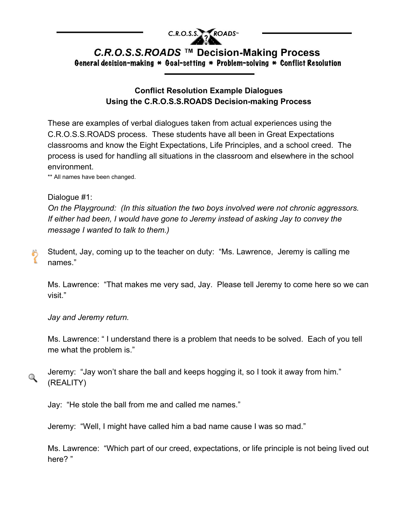

## C.R.O.S.S.ROADS ™ Decision-Making Process General decision-making \* Goal-setting \* Problem-solving \* Conflict Resolution

## **Conflict Resolution Example Dialogues Using the C.R.O.S.S.ROADS Decision-making Process**

These are examples of verbal dialogues taken from actual experiences using the C.R.O.S.S.ROADS process. These students have all been in Great Expectations classrooms and know the Eight Expectations, Life Principles, and a school creed. The process is used for handling all situations in the classroom and elsewhere in the school environment.

\*\* All names have been changed.

## Dialogue #1:

१

 $\mathbb Q$ 

*On the Playground: (In this situation the two boys involved were not chronic aggressors. If either had been, I would have gone to Jeremy instead of asking Jay to convey the message I wanted to talk to them.)*

Student, Jay, coming up to the teacher on duty: "Ms. Lawrence, Jeremy is calling me names."

Ms. Lawrence: "That makes me very sad, Jay. Please tell Jeremy to come here so we can visit."

*Jay and Jeremy return.*

Ms. Lawrence: " I understand there is a problem that needs to be solved. Each of you tell me what the problem is."

Jeremy: "Jay won't share the ball and keeps hogging it, so I took it away from him." (REALITY)

Jay: "He stole the ball from me and called me names."

Jeremy: "Well, I might have called him a bad name cause I was so mad."

Ms. Lawrence: "Which part of our creed, expectations, or life principle is not being lived out here? "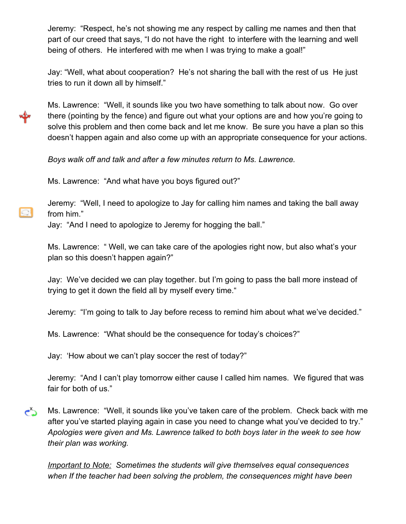Jeremy: "Respect, he's not showing me any respect by calling me names and then that part of our creed that says, "I do not have the right to interfere with the learning and well being of others. He interfered with me when I was trying to make a goal!"

Jay: "Well, what about cooperation? He's not sharing the ball with the rest of us He just tries to run it down all by himself."

Ms. Lawrence: "Well, it sounds like you two have something to talk about now. Go over there (pointing by the fence) and figure out what your options are and how you're going to solve this problem and then come back and let me know. Be sure you have a plan so this doesn't happen again and also come up with an appropriate consequence for your actions.

*Boys walk off and talk and after a few minutes return to Ms. Lawrence.*

Ms. Lawrence: "And what have you boys figured out?"

O.

Jeremy: "Well, I need to apologize to Jay for calling him names and taking the ball away from him."

Jay: "And I need to apologize to Jeremy for hogging the ball."

Ms. Lawrence: " Well, we can take care of the apologies right now, but also what's your plan so this doesn't happen again?"

Jay: We've decided we can play together. but I'm going to pass the ball more instead of trying to get it down the field all by myself every time."

Jeremy: "I'm going to talk to Jay before recess to remind him about what we've decided."

Ms. Lawrence: "What should be the consequence for today's choices?"

Jay: 'How about we can't play soccer the rest of today?"

Jeremy: "And I can't play tomorrow either cause I called him names. We figured that was fair for both of us."

دے Ms. Lawrence: "Well, it sounds like you've taken care of the problem. Check back with me after you've started playing again in case you need to change what you've decided to try." *Apologies were given and Ms. Lawrence talked to both boys later in the week to see how their plan was working.*

*Important to Note: Sometimes the students will give themselves equal consequences when If the teacher had been solving the problem, the consequences might have been*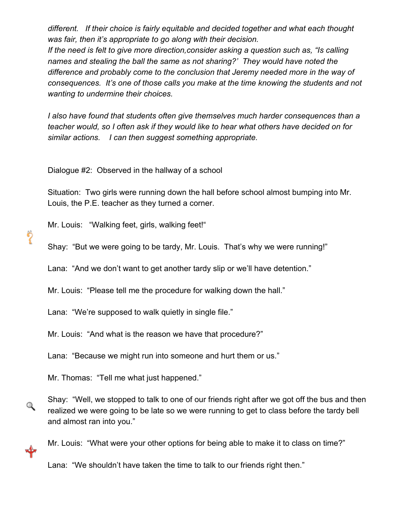*different. If their choice is fairly equitable and decided together and what each thought was fair, then it's appropriate to go along with their decision.*

*If the need is felt to give more direction,consider asking a question such as, "Is calling names and stealing the ball the same as not sharing?' They would have noted the difference and probably come to the conclusion that Jeremy needed more in the way of consequences. It's one of those calls you make at the time knowing the students and not wanting to undermine their choices.*

*I also have found that students often give themselves much harder consequences than a teacher would, so I often ask if they would like to hear what others have decided on for similar actions. I can then suggest something appropriate.*

Dialogue #2: Observed in the hallway of a school

Situation: Two girls were running down the hall before school almost bumping into Mr. Louis, the P.E. teacher as they turned a corner.

Mr. Louis: "Walking feet, girls, walking feet!"

?

Q

ຊ≻

Shay: "But we were going to be tardy, Mr. Louis. That's why we were running!"

Lana: "And we don't want to get another tardy slip or we'll have detention."

Mr. Louis: "Please tell me the procedure for walking down the hall."

Lana: "We're supposed to walk quietly in single file."

Mr. Louis: "And what is the reason we have that procedure?"

Lana: "Because we might run into someone and hurt them or us."

Mr. Thomas: "Tell me what just happened."

Shay: "Well, we stopped to talk to one of our friends right after we got off the bus and then realized we were going to be late so we were running to get to class before the tardy bell and almost ran into you."

Mr. Louis: "What were your other options for being able to make it to class on time?"

Lana: "We shouldn't have taken the time to talk to our friends right then."